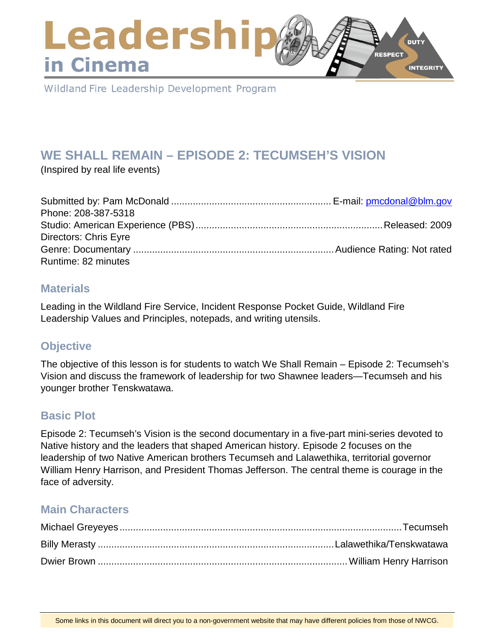### Leadershi **DUTY RESPECT** in Cinema **INTEGRITY**

Wildland Fire Leadership Development Program

# **WE SHALL REMAIN – EPISODE 2: TECUMSEH'S VISION**

(Inspired by real life events)

| Phone: 208-387-5318          |  |
|------------------------------|--|
|                              |  |
| <b>Directors: Chris Eyre</b> |  |
|                              |  |
| Runtime: 82 minutes          |  |

### **Materials**

Leading in the Wildland Fire Service, Incident Response Pocket Guide, Wildland Fire Leadership Values and Principles, notepads, and writing utensils.

# **Objective**

The objective of this lesson is for students to watch We Shall Remain – Episode 2: Tecumseh's Vision and discuss the framework of leadership for two Shawnee leaders—Tecumseh and his younger brother Tenskwatawa.

# **Basic Plot**

Episode 2: Tecumseh's Vision is the second documentary in a five-part mini-series devoted to Native history and the leaders that shaped American history. Episode 2 focuses on the leadership of two Native American brothers Tecumseh and Lalawethika, territorial governor William Henry Harrison, and President Thomas Jefferson. The central theme is courage in the face of adversity.

# **Main Characters**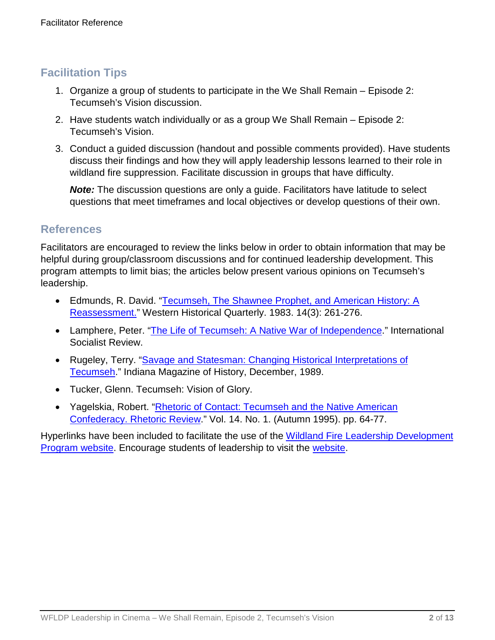# **Facilitation Tips**

- 1. Organize a group of students to participate in the We Shall Remain Episode 2: Tecumseh's Vision discussion.
- 2. Have students watch individually or as a group We Shall Remain Episode 2: Tecumseh's Vision.
- 3. Conduct a guided discussion (handout and possible comments provided). Have students discuss their findings and how they will apply leadership lessons learned to their role in wildland fire suppression. Facilitate discussion in groups that have difficulty.

**Note:** The discussion questions are only a guide. Facilitators have latitude to select questions that meet timeframes and local objectives or develop questions of their own.

### **References**

Facilitators are encouraged to review the links below in order to obtain information that may be helpful during group/classroom discussions and for continued leadership development. This program attempts to limit bias; the articles below present various opinions on Tecumseh's leadership.

- Edmunds, R. David. "Tecumseh, The Shawnee Prophet, and American History: A [Reassessment."](file://ilmfcop3fp8.blm.doi.net/users$/pmcdonal/Leadership/Toolbox/Leadership%20in%20Cinema/Lesson%20Plans/We%20Shall%20Remain/2%20-%20Tecumseh) Western Historical Quarterly. 1983. 14(3): 261-276.
- Lamphere, Peter. ["The Life of Tecumseh: A Native War of Independence.](http://www.isreview.org/issues/39/tecumseh.shtml)" International Socialist Review.
- Rugeley, Terry. ["Savage and Statesman: Changing Historical Interpretations of](https://scholarworks.iu.edu/journals/index.php/imh/article/view/11006)  [Tecumseh.](https://scholarworks.iu.edu/journals/index.php/imh/article/view/11006)" Indiana Magazine of History, December, 1989.
- Tucker, Glenn. Tecumseh: Vision of Glory.
- Yagelskia, Robert. ["Rhetoric of Contact: Tecumseh and the Native American](file://ilmfcop3fp8.blm.doi.net/users$/pmcdonal/Leadership/Toolbox/Leadership%20in%20Cinema/Lesson%20Plans/We%20Shall%20Remain/2%20-%20Tecumseh)  [Confederacy. Rhetoric Review.](file://ilmfcop3fp8.blm.doi.net/users$/pmcdonal/Leadership/Toolbox/Leadership%20in%20Cinema/Lesson%20Plans/We%20Shall%20Remain/2%20-%20Tecumseh)" Vol. 14. No. 1. (Autumn 1995). pp. 64-77.

Hyperlinks have been included to facilitate the use of the [Wildland Fire Leadership Development](https://www.fireleadership.gov/)  [Program website.](https://www.fireleadership.gov/) Encourage students of leadership to visit the [website.](https://www.fireleadership.gov/)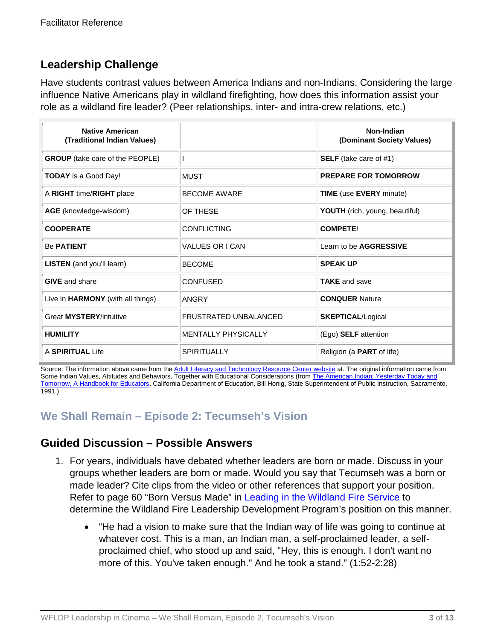# **Leadership Challenge**

Have students contrast values between America Indians and non-Indians. Considering the large influence Native Americans play in wildland firefighting, how does this information assist your role as a wildland fire leader? (Peer relationships, inter- and intra-crew relations, etc.)

| <b>Native American</b><br>(Traditional Indian Values) |                            | Non-Indian<br>(Dominant Society Values) |
|-------------------------------------------------------|----------------------------|-----------------------------------------|
| <b>GROUP</b> (take care of the PEOPLE)                |                            | <b>SELF</b> (take care of #1)           |
| <b>TODAY</b> is a Good Day!                           | <b>MUST</b>                | <b>PREPARE FOR TOMORROW</b>             |
| A RIGHT time/RIGHT place                              | <b>BECOME AWARE</b>        | <b>TIME</b> (use <b>EVERY</b> minute)   |
| AGE (knowledge-wisdom)                                | OF THESE                   | <b>YOUTH</b> (rich, young, beautiful)   |
| <b>COOPERATE</b>                                      | <b>CONFLICTING</b>         | <b>COMPETE!</b>                         |
| <b>Be PATIENT</b>                                     | <b>VALUES OR I CAN</b>     | Learn to be AGGRESSIVE                  |
| <b>LISTEN</b> (and you'll learn)                      | <b>BECOME</b>              | <b>SPEAK UP</b>                         |
| <b>GIVE</b> and share                                 | <b>CONFUSED</b>            | <b>TAKE</b> and save                    |
| Live in HARMONY (with all things)                     | <b>ANGRY</b>               | <b>CONQUER Nature</b>                   |
| Great MYSTERY/intuitive                               | FRUSTRATED UNBALANCED      | <b>SKEPTICAL/Logical</b>                |
| <b>HUMILITY</b>                                       | <b>MENTALLY PHYSICALLY</b> | (Ego) SELF attention                    |
| A SPIRITUAL Life                                      | <b>SPIRITUALLY</b>         | Religion (a <b>PART</b> of life)        |

Source: The information above came from th[e Adult Literacy and Technology Resource Center website](http://www.literacynet.org/lp/namericans/values.html) at. The original information came from Some Indian Values, Attitudes and Behaviors, Together with Educational Considerations (from The American Indian: Yesterday Today and [Tomorrow, A Handbook for Educators.](file://ilmfcop3fp8.blm.doi.net/users$/pmcdonal/Leadership/Toolbox/Leadership%20in%20Cinema/Lesson%20Plans/We%20Shall%20Remain/2%20-%20Tecumseh) California Department of Education, Bill Honig, State Superintendent of Public Instruction, Sacramento, 1991.)

# **We Shall Remain – Episode 2: Tecumseh's Vision**

### **Guided Discussion – Possible Answers**

- 1. For years, individuals have debated whether leaders are born or made. Discuss in your groups whether leaders are born or made. Would you say that Tecumseh was a born or made leader? Cite clips from the video or other references that support your position. Refer to page 60 "Born Versus Made" in [Leading in the Wildland Fire Service](https://www.nwcg.gov/publications/494-2) to determine the Wildland Fire Leadership Development Program's position on this manner.
	- "He had a vision to make sure that the Indian way of life was going to continue at whatever cost. This is a man, an Indian man, a self-proclaimed leader, a selfproclaimed chief, who stood up and said, "Hey, this is enough. I don't want no more of this. You've taken enough." And he took a stand." (1:52-2:28)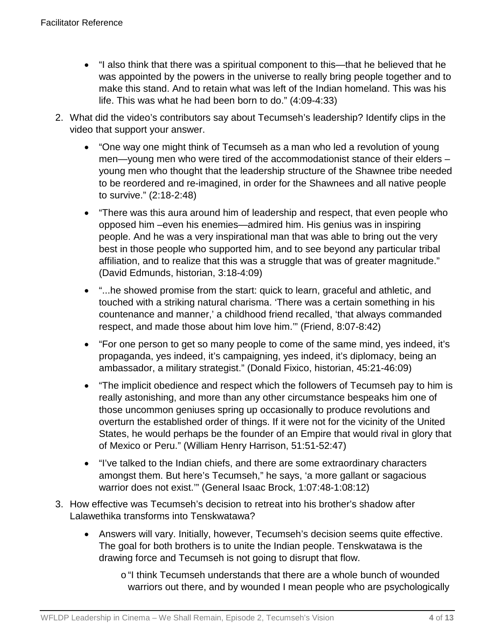- "I also think that there was a spiritual component to this—that he believed that he was appointed by the powers in the universe to really bring people together and to make this stand. And to retain what was left of the Indian homeland. This was his life. This was what he had been born to do." (4:09-4:33)
- 2. What did the video's contributors say about Tecumseh's leadership? Identify clips in the video that support your answer.
	- "One way one might think of Tecumseh as a man who led a revolution of young men—young men who were tired of the accommodationist stance of their elders – young men who thought that the leadership structure of the Shawnee tribe needed to be reordered and re-imagined, in order for the Shawnees and all native people to survive." (2:18-2:48)
	- "There was this aura around him of leadership and respect, that even people who opposed him –even his enemies—admired him. His genius was in inspiring people. And he was a very inspirational man that was able to bring out the very best in those people who supported him, and to see beyond any particular tribal affiliation, and to realize that this was a struggle that was of greater magnitude." (David Edmunds, historian, 3:18-4:09)
	- "...he showed promise from the start: quick to learn, graceful and athletic, and touched with a striking natural charisma. 'There was a certain something in his countenance and manner,' a childhood friend recalled, 'that always commanded respect, and made those about him love him.'" (Friend, 8:07-8:42)
	- "For one person to get so many people to come of the same mind, yes indeed, it's propaganda, yes indeed, it's campaigning, yes indeed, it's diplomacy, being an ambassador, a military strategist." (Donald Fixico, historian, 45:21-46:09)
	- "The implicit obedience and respect which the followers of Tecumseh pay to him is really astonishing, and more than any other circumstance bespeaks him one of those uncommon geniuses spring up occasionally to produce revolutions and overturn the established order of things. If it were not for the vicinity of the United States, he would perhaps be the founder of an Empire that would rival in glory that of Mexico or Peru." (William Henry Harrison, 51:51-52:47)
	- "I've talked to the Indian chiefs, and there are some extraordinary characters amongst them. But here's Tecumseh," he says, 'a more gallant or sagacious warrior does not exist.'" (General Isaac Brock, 1:07:48-1:08:12)
- 3. How effective was Tecumseh's decision to retreat into his brother's shadow after Lalawethika transforms into Tenskwatawa?
	- Answers will vary. Initially, however, Tecumseh's decision seems quite effective. The goal for both brothers is to unite the Indian people. Tenskwatawa is the drawing force and Tecumseh is not going to disrupt that flow.
		- o"I think Tecumseh understands that there are a whole bunch of wounded warriors out there, and by wounded I mean people who are psychologically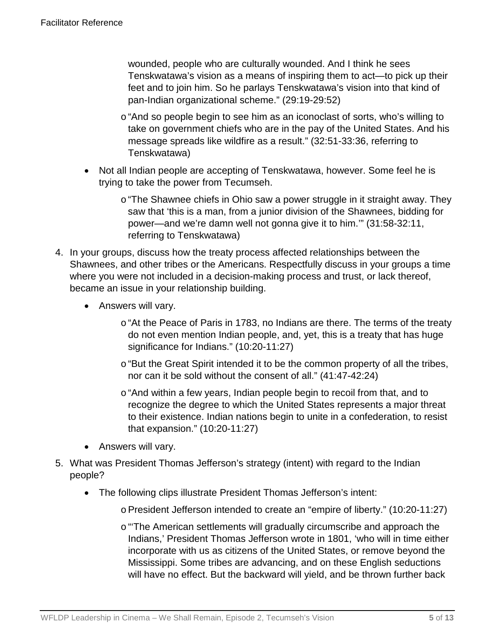wounded, people who are culturally wounded. And I think he sees Tenskwatawa's vision as a means of inspiring them to act—to pick up their feet and to join him. So he parlays Tenskwatawa's vision into that kind of pan-Indian organizational scheme." (29:19-29:52)

- o"And so people begin to see him as an iconoclast of sorts, who's willing to take on government chiefs who are in the pay of the United States. And his message spreads like wildfire as a result." (32:51-33:36, referring to Tenskwatawa)
- Not all Indian people are accepting of Tenskwatawa, however. Some feel he is trying to take the power from Tecumseh.
	- o"The Shawnee chiefs in Ohio saw a power struggle in it straight away. They saw that 'this is a man, from a junior division of the Shawnees, bidding for power—and we're damn well not gonna give it to him.'" (31:58-32:11, referring to Tenskwatawa)
- 4. In your groups, discuss how the treaty process affected relationships between the Shawnees, and other tribes or the Americans. Respectfully discuss in your groups a time where you were not included in a decision-making process and trust, or lack thereof, became an issue in your relationship building.
	- Answers will vary.
		- o "At the Peace of Paris in 1783, no Indians are there. The terms of the treaty do not even mention Indian people, and, yet, this is a treaty that has huge significance for Indians." (10:20-11:27)
		- o "But the Great Spirit intended it to be the common property of all the tribes, nor can it be sold without the consent of all." (41:47-42:24)
		- o "And within a few years, Indian people begin to recoil from that, and to recognize the degree to which the United States represents a major threat to their existence. Indian nations begin to unite in a confederation, to resist that expansion." (10:20-11:27)
	- Answers will vary.
- 5. What was President Thomas Jefferson's strategy (intent) with regard to the Indian people?
	- The following clips illustrate President Thomas Jefferson's intent:
		- oPresident Jefferson intended to create an "empire of liberty." (10:20-11:27)
		- o"'The American settlements will gradually circumscribe and approach the Indians,' President Thomas Jefferson wrote in 1801, 'who will in time either incorporate with us as citizens of the United States, or remove beyond the Mississippi. Some tribes are advancing, and on these English seductions will have no effect. But the backward will yield, and be thrown further back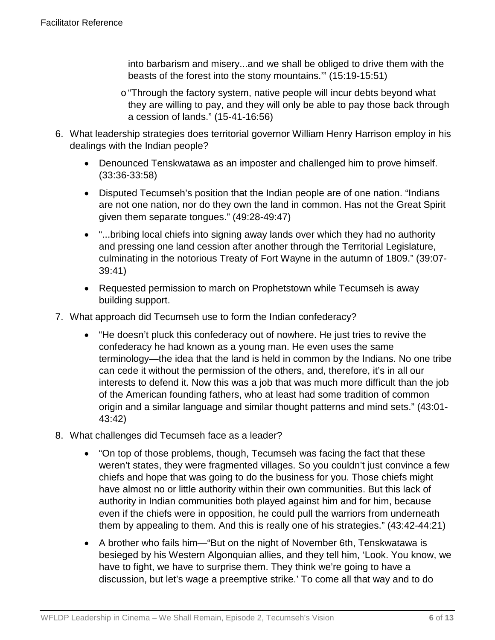into barbarism and misery...and we shall be obliged to drive them with the beasts of the forest into the stony mountains.'" (15:19-15:51)

- o"Through the factory system, native people will incur debts beyond what they are willing to pay, and they will only be able to pay those back through a cession of lands." (15-41-16:56)
- 6. What leadership strategies does territorial governor William Henry Harrison employ in his dealings with the Indian people?
	- Denounced Tenskwatawa as an imposter and challenged him to prove himself. (33:36-33:58)
	- Disputed Tecumseh's position that the Indian people are of one nation. "Indians are not one nation, nor do they own the land in common. Has not the Great Spirit given them separate tongues." (49:28-49:47)
	- "...bribing local chiefs into signing away lands over which they had no authority and pressing one land cession after another through the Territorial Legislature, culminating in the notorious Treaty of Fort Wayne in the autumn of 1809." (39:07- 39:41)
	- Requested permission to march on Prophetstown while Tecumseh is away building support.
- 7. What approach did Tecumseh use to form the Indian confederacy?
	- "He doesn't pluck this confederacy out of nowhere. He just tries to revive the confederacy he had known as a young man. He even uses the same terminology—the idea that the land is held in common by the Indians. No one tribe can cede it without the permission of the others, and, therefore, it's in all our interests to defend it. Now this was a job that was much more difficult than the job of the American founding fathers, who at least had some tradition of common origin and a similar language and similar thought patterns and mind sets." (43:01- 43:42)
- 8. What challenges did Tecumseh face as a leader?
	- "On top of those problems, though, Tecumseh was facing the fact that these weren't states, they were fragmented villages. So you couldn't just convince a few chiefs and hope that was going to do the business for you. Those chiefs might have almost no or little authority within their own communities. But this lack of authority in Indian communities both played against him and for him, because even if the chiefs were in opposition, he could pull the warriors from underneath them by appealing to them. And this is really one of his strategies." (43:42-44:21)
	- A brother who fails him—"But on the night of November 6th, Tenskwatawa is besieged by his Western Algonquian allies, and they tell him, 'Look. You know, we have to fight, we have to surprise them. They think we're going to have a discussion, but let's wage a preemptive strike.' To come all that way and to do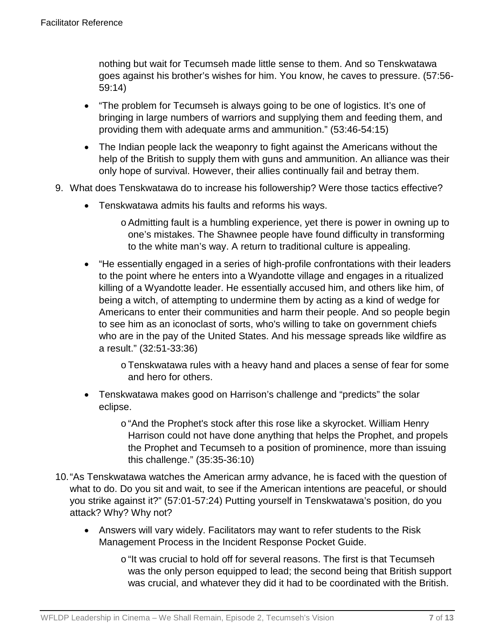nothing but wait for Tecumseh made little sense to them. And so Tenskwatawa goes against his brother's wishes for him. You know, he caves to pressure. (57:56- 59:14)

- "The problem for Tecumseh is always going to be one of logistics. It's one of bringing in large numbers of warriors and supplying them and feeding them, and providing them with adequate arms and ammunition." (53:46-54:15)
- The Indian people lack the weaponry to fight against the Americans without the help of the British to supply them with guns and ammunition. An alliance was their only hope of survival. However, their allies continually fail and betray them.
- 9. What does Tenskwatawa do to increase his followership? Were those tactics effective?
	- Tenskwatawa admits his faults and reforms his ways.
		- oAdmitting fault is a humbling experience, yet there is power in owning up to one's mistakes. The Shawnee people have found difficulty in transforming to the white man's way. A return to traditional culture is appealing.
	- "He essentially engaged in a series of high-profile confrontations with their leaders to the point where he enters into a Wyandotte village and engages in a ritualized killing of a Wyandotte leader. He essentially accused him, and others like him, of being a witch, of attempting to undermine them by acting as a kind of wedge for Americans to enter their communities and harm their people. And so people begin to see him as an iconoclast of sorts, who's willing to take on government chiefs who are in the pay of the United States. And his message spreads like wildfire as a result." (32:51-33:36)

oTenskwatawa rules with a heavy hand and places a sense of fear for some and hero for others.

• Tenskwatawa makes good on Harrison's challenge and "predicts" the solar eclipse.

> o"And the Prophet's stock after this rose like a skyrocket. William Henry Harrison could not have done anything that helps the Prophet, and propels the Prophet and Tecumseh to a position of prominence, more than issuing this challenge." (35:35-36:10)

- 10."As Tenskwatawa watches the American army advance, he is faced with the question of what to do. Do you sit and wait, to see if the American intentions are peaceful, or should you strike against it?" (57:01-57:24) Putting yourself in Tenskwatawa's position, do you attack? Why? Why not?
	- Answers will vary widely. Facilitators may want to refer students to the Risk Management Process in the Incident Response Pocket Guide.
		- $\circ$  "It was crucial to hold off for several reasons. The first is that Tecumseh was the only person equipped to lead; the second being that British support was crucial, and whatever they did it had to be coordinated with the British.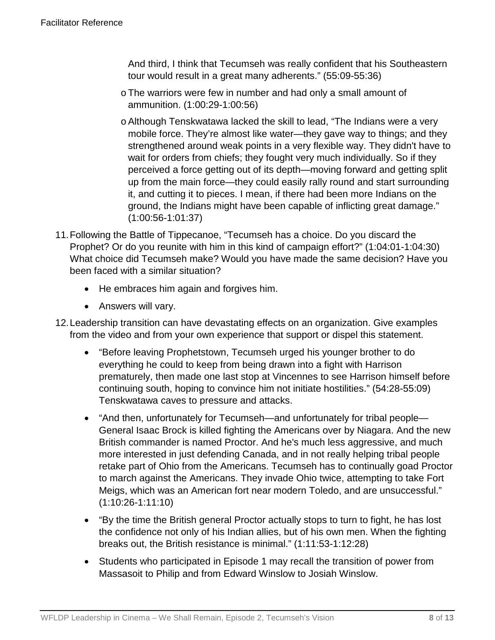And third, I think that Tecumseh was really confident that his Southeastern tour would result in a great many adherents." (55:09-55:36)

- oThe warriors were few in number and had only a small amount of ammunition. (1:00:29-1:00:56)
- oAlthough Tenskwatawa lacked the skill to lead, "The Indians were a very mobile force. They're almost like water—they gave way to things; and they strengthened around weak points in a very flexible way. They didn't have to wait for orders from chiefs; they fought very much individually. So if they perceived a force getting out of its depth—moving forward and getting split up from the main force—they could easily rally round and start surrounding it, and cutting it to pieces. I mean, if there had been more Indians on the ground, the Indians might have been capable of inflicting great damage." (1:00:56-1:01:37)
- 11.Following the Battle of Tippecanoe, "Tecumseh has a choice. Do you discard the Prophet? Or do you reunite with him in this kind of campaign effort?" (1:04:01-1:04:30) What choice did Tecumseh make? Would you have made the same decision? Have you been faced with a similar situation?
	- He embraces him again and forgives him.
	- Answers will vary.
- 12.Leadership transition can have devastating effects on an organization. Give examples from the video and from your own experience that support or dispel this statement.
	- "Before leaving Prophetstown, Tecumseh urged his younger brother to do everything he could to keep from being drawn into a fight with Harrison prematurely, then made one last stop at Vincennes to see Harrison himself before continuing south, hoping to convince him not initiate hostilities." (54:28-55:09) Tenskwatawa caves to pressure and attacks.
	- "And then, unfortunately for Tecumseh—and unfortunately for tribal people— General Isaac Brock is killed fighting the Americans over by Niagara. And the new British commander is named Proctor. And he's much less aggressive, and much more interested in just defending Canada, and in not really helping tribal people retake part of Ohio from the Americans. Tecumseh has to continually goad Proctor to march against the Americans. They invade Ohio twice, attempting to take Fort Meigs, which was an American fort near modern Toledo, and are unsuccessful." (1:10:26-1:11:10)
	- "By the time the British general Proctor actually stops to turn to fight, he has lost the confidence not only of his Indian allies, but of his own men. When the fighting breaks out, the British resistance is minimal." (1:11:53-1:12:28)
	- Students who participated in Episode 1 may recall the transition of power from Massasoit to Philip and from Edward Winslow to Josiah Winslow.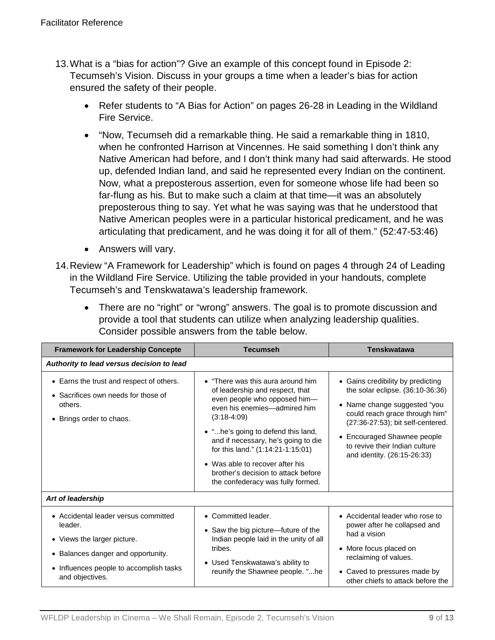- 13.What is a "bias for action"? Give an example of this concept found in Episode 2: Tecumseh's Vision. Discuss in your groups a time when a leader's bias for action ensured the safety of their people.
	- Refer students to "A Bias for Action" on pages 26-28 in Leading in the Wildland Fire Service.
	- "Now, Tecumseh did a remarkable thing. He said a remarkable thing in 1810, when he confronted Harrison at Vincennes. He said something I don't think any Native American had before, and I don't think many had said afterwards. He stood up, defended Indian land, and said he represented every Indian on the continent. Now, what a preposterous assertion, even for someone whose life had been so far-flung as his. But to make such a claim at that time—it was an absolutely preposterous thing to say. Yet what he was saying was that he understood that Native American peoples were in a particular historical predicament, and he was articulating that predicament, and he was doing it for all of them." (52:47-53:46)
	- Answers will vary.
- 14.Review "A Framework for Leadership" which is found on pages 4 through 24 of Leading in the Wildland Fire Service. Utilizing the table provided in your handouts, complete Tecumseh's and Tenskwatawa's leadership framework.
	- There are no "right" or "wrong" answers. The goal is to promote discussion and provide a tool that students can utilize when analyzing leadership qualities. Consider possible answers from the table below.

| <b>Framework for Leadership Concepte</b>                                                                                                                                           | <b>Tecumseh</b>                                                                                                                                                                                                                                                                                                                                                                        | <b>Tenskwatawa</b>                                                                                                                                                                                                                                                           |
|------------------------------------------------------------------------------------------------------------------------------------------------------------------------------------|----------------------------------------------------------------------------------------------------------------------------------------------------------------------------------------------------------------------------------------------------------------------------------------------------------------------------------------------------------------------------------------|------------------------------------------------------------------------------------------------------------------------------------------------------------------------------------------------------------------------------------------------------------------------------|
| Authority to lead versus decision to lead                                                                                                                                          |                                                                                                                                                                                                                                                                                                                                                                                        |                                                                                                                                                                                                                                                                              |
| • Earns the trust and respect of others.<br>• Sacrifices own needs for those of<br>others.<br>• Brings order to chaos.                                                             | • "There was this aura around him<br>of leadership and respect, that<br>even people who opposed him-<br>even his enemies-admired him<br>$(3:18-4:09)$<br>• "he's going to defend this land,<br>and if necessary, he's going to die<br>for this land." (1:14:21-1:15:01)<br>• Was able to recover after his<br>brother's decision to attack before<br>the confederacy was fully formed. | • Gains credibility by predicting<br>the solar eclipse. (36:10-36:36)<br>• Name change suggested "you<br>could reach grace through him"<br>(27:36-27:53); bit self-centered.<br>• Encouraged Shawnee people<br>to revive their Indian culture<br>and identity. (26:15-26:33) |
| Art of leadership                                                                                                                                                                  |                                                                                                                                                                                                                                                                                                                                                                                        |                                                                                                                                                                                                                                                                              |
| • Accidental leader versus committed<br>leader.<br>• Views the larger picture.<br>• Balances danger and opportunity.<br>• Influences people to accomplish tasks<br>and objectives. | • Committed leader.<br>• Saw the big picture-future of the<br>Indian people laid in the unity of all<br>tribes.<br>• Used Tenskwatawa's ability to<br>reunify the Shawnee people. "he                                                                                                                                                                                                  | • Accidental leader who rose to<br>power after he collapsed and<br>had a vision<br>• More focus placed on<br>reclaiming of values.<br>• Caved to pressures made by<br>other chiefs to attack before the                                                                      |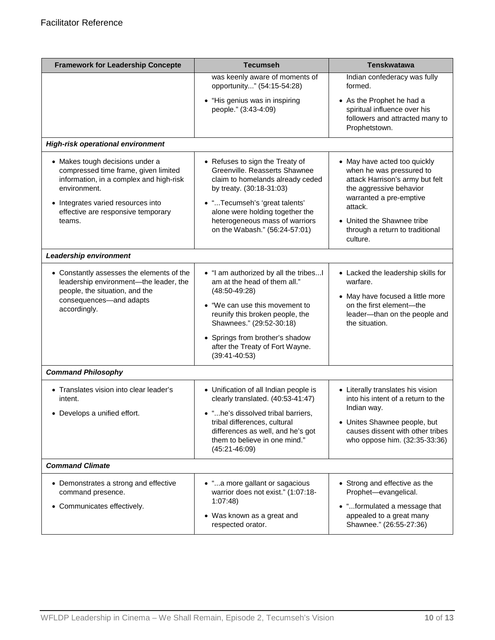| <b>Framework for Leadership Concepte</b>                                                                                                                                                                                 | <b>Tecumseh</b>                                                                                                                                                                                                                                                                     | <b>Tenskwatawa</b>                                                                                                                                                                                                                        |
|--------------------------------------------------------------------------------------------------------------------------------------------------------------------------------------------------------------------------|-------------------------------------------------------------------------------------------------------------------------------------------------------------------------------------------------------------------------------------------------------------------------------------|-------------------------------------------------------------------------------------------------------------------------------------------------------------------------------------------------------------------------------------------|
|                                                                                                                                                                                                                          | was keenly aware of moments of<br>opportunity" (54:15-54:28)                                                                                                                                                                                                                        | Indian confederacy was fully<br>formed.                                                                                                                                                                                                   |
|                                                                                                                                                                                                                          | • "His genius was in inspiring<br>people." (3:43-4:09)                                                                                                                                                                                                                              | • As the Prophet he had a<br>spiritual influence over his<br>followers and attracted many to<br>Prophetstown.                                                                                                                             |
| <b>High-risk operational environment</b>                                                                                                                                                                                 |                                                                                                                                                                                                                                                                                     |                                                                                                                                                                                                                                           |
| • Makes tough decisions under a<br>compressed time frame, given limited<br>information, in a complex and high-risk<br>environment.<br>• Integrates varied resources into<br>effective are responsive temporary<br>teams. | • Refuses to sign the Treaty of<br>Greenville, Reasserts Shawnee<br>claim to homelands already ceded<br>by treaty. (30:18-31:03)<br>• "Tecumseh's 'great talents'<br>alone were holding together the<br>heterogeneous mass of warriors<br>on the Wabash." (56:24-57:01)             | • May have acted too quickly<br>when he was pressured to<br>attack Harrison's army but felt<br>the aggressive behavior<br>warranted a pre-emptive<br>attack.<br>• United the Shawnee tribe<br>through a return to traditional<br>culture. |
| Leadership environment                                                                                                                                                                                                   |                                                                                                                                                                                                                                                                                     |                                                                                                                                                                                                                                           |
| • Constantly assesses the elements of the<br>leadership environment-the leader, the<br>people, the situation, and the<br>consequences-and adapts<br>accordingly.                                                         | • "I am authorized by all the tribes<br>am at the head of them all."<br>$(48:50-49:28)$<br>• "We can use this movement to<br>reunify this broken people, the<br>Shawnees." (29:52-30:18)<br>• Springs from brother's shadow<br>after the Treaty of Fort Wayne.<br>$(39:41 - 40:53)$ | • Lacked the leadership skills for<br>warfare.<br>• May have focused a little more<br>on the first element-the<br>leader-than on the people and<br>the situation.                                                                         |
| <b>Command Philosophy</b>                                                                                                                                                                                                |                                                                                                                                                                                                                                                                                     |                                                                                                                                                                                                                                           |
| • Translates vision into clear leader's<br>intent.<br>• Develops a unified effort.                                                                                                                                       | • Unification of all Indian people is<br>clearly translated. (40:53-41:47)<br>• "he's dissolved tribal barriers,<br>tribal differences, cultural<br>differences as well, and he's got<br>them to believe in one mind."<br>$(45:21 - 46:09)$                                         | • Literally translates his vision<br>into his intent of a return to the<br>Indian way.<br>• Unites Shawnee people, but<br>causes dissent with other tribes<br>who oppose him. (32:35-33:36)                                               |
| <b>Command Climate</b>                                                                                                                                                                                                   |                                                                                                                                                                                                                                                                                     |                                                                                                                                                                                                                                           |
| • Demonstrates a strong and effective<br>command presence.<br>• Communicates effectively.                                                                                                                                | • "a more gallant or sagacious<br>warrior does not exist." (1:07:18-<br>1:07:48<br>• Was known as a great and<br>respected orator.                                                                                                                                                  | • Strong and effective as the<br>Prophet-evangelical.<br>• "formulated a message that<br>appealed to a great many<br>Shawnee." (26:55-27:36)                                                                                              |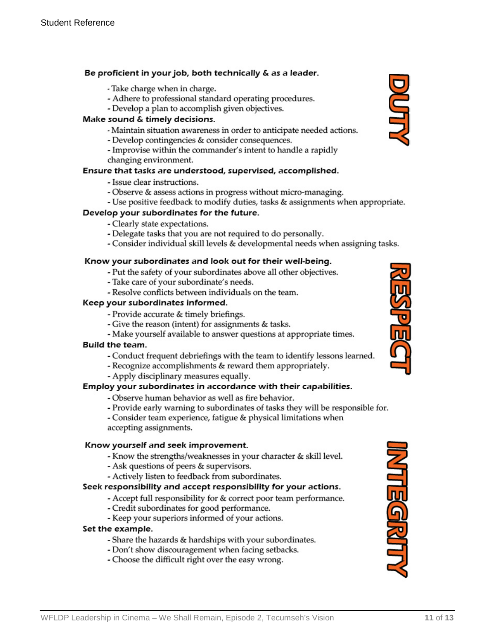#### Be proficient in your job, both technically & as a leader.

- Take charge when in charge.
- Adhere to professional standard operating procedures.
- Develop a plan to accomplish given objectives.

#### Make sound & timely decisions.

- Maintain situation awareness in order to anticipate needed actions.
- Develop contingencies & consider consequences.
- Improvise within the commander's intent to handle a rapidly changing environment.

#### Ensure that tasks are understood, supervised, accomplished.

- Issue clear instructions.
- Observe & assess actions in progress without micro-managing.
- Use positive feedback to modify duties, tasks & assignments when appropriate.

#### Develop your subordinates for the future.

- Clearly state expectations.
- Delegate tasks that you are not required to do personally.
- Consider individual skill levels & developmental needs when assigning tasks.

#### Know your subordinates and look out for their well-being.

- Put the safety of your subordinates above all other objectives.
- Take care of your subordinate's needs.
- Resolve conflicts between individuals on the team.

#### Keep your subordinates informed.

- Provide accurate & timely briefings.
- Give the reason (intent) for assignments & tasks.
- Make yourself available to answer questions at appropriate times.

#### Build the team.

- Conduct frequent debriefings with the team to identify lessons learned.
- Recognize accomplishments & reward them appropriately.
- Apply disciplinary measures equally.

#### Employ your subordinates in accordance with their capabilities.

- Observe human behavior as well as fire behavior.
- Provide early warning to subordinates of tasks they will be responsible for.
- Consider team experience, fatigue & physical limitations when accepting assignments.

#### Know yourself and seek improvement.

- Know the strengths/weaknesses in your character & skill level.
- Ask questions of peers & supervisors.
- Actively listen to feedback from subordinates.

#### Seek responsibility and accept responsibility for your actions.

- Accept full responsibility for & correct poor team performance.
- Credit subordinates for good performance.
- Keep your superiors informed of your actions.

#### Set the example.

- Share the hazards & hardships with your subordinates.
- Don't show discouragement when facing setbacks.
- Choose the difficult right over the easy wrong.





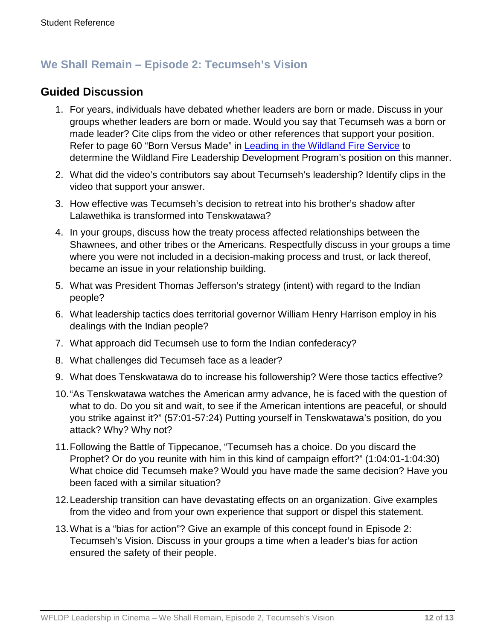### **We Shall Remain – Episode 2: Tecumseh's Vision**

### **Guided Discussion**

- 1. For years, individuals have debated whether leaders are born or made. Discuss in your groups whether leaders are born or made. Would you say that Tecumseh was a born or made leader? Cite clips from the video or other references that support your position. Refer to page 60 "Born Versus Made" in [Leading in the Wildland Fire Service](https://www.nwcg.gov/publications/494-2) to determine the Wildland Fire Leadership Development Program's position on this manner.
- 2. What did the video's contributors say about Tecumseh's leadership? Identify clips in the video that support your answer.
- 3. How effective was Tecumseh's decision to retreat into his brother's shadow after Lalawethika is transformed into Tenskwatawa?
- 4. In your groups, discuss how the treaty process affected relationships between the Shawnees, and other tribes or the Americans. Respectfully discuss in your groups a time where you were not included in a decision-making process and trust, or lack thereof, became an issue in your relationship building.
- 5. What was President Thomas Jefferson's strategy (intent) with regard to the Indian people?
- 6. What leadership tactics does territorial governor William Henry Harrison employ in his dealings with the Indian people?
- 7. What approach did Tecumseh use to form the Indian confederacy?
- 8. What challenges did Tecumseh face as a leader?
- 9. What does Tenskwatawa do to increase his followership? Were those tactics effective?
- 10."As Tenskwatawa watches the American army advance, he is faced with the question of what to do. Do you sit and wait, to see if the American intentions are peaceful, or should you strike against it?" (57:01-57:24) Putting yourself in Tenskwatawa's position, do you attack? Why? Why not?
- 11.Following the Battle of Tippecanoe, "Tecumseh has a choice. Do you discard the Prophet? Or do you reunite with him in this kind of campaign effort?" (1:04:01-1:04:30) What choice did Tecumseh make? Would you have made the same decision? Have you been faced with a similar situation?
- 12.Leadership transition can have devastating effects on an organization. Give examples from the video and from your own experience that support or dispel this statement.
- 13.What is a "bias for action"? Give an example of this concept found in Episode 2: Tecumseh's Vision. Discuss in your groups a time when a leader's bias for action ensured the safety of their people.